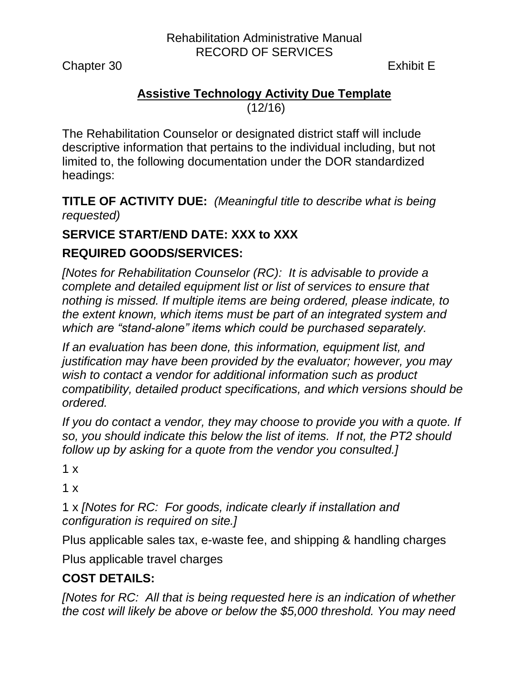Rehabilitation Administrative Manual RECORD OF SERVICES

Chapter 30 Exhibit E

### **Assistive Technology Activity Due Template** (12/16)

The Rehabilitation Counselor or designated district staff will include descriptive information that pertains to the individual including, but not limited to, the following documentation under the DOR standardized headings:

**TITLE OF ACTIVITY DUE:** *(Meaningful title to describe what is being requested)*

# **SERVICE START/END DATE: XXX to XXX**

# **REQUIRED GOODS/SERVICES:**

*[Notes for Rehabilitation Counselor (RC): It is advisable to provide a complete and detailed equipment list or list of services to ensure that nothing is missed. If multiple items are being ordered, please indicate, to the extent known, which items must be part of an integrated system and which are "stand-alone" items which could be purchased separately.* 

*If an evaluation has been done, this information, equipment list, and justification may have been provided by the evaluator; however, you may wish to contact a vendor for additional information such as product compatibility, detailed product specifications, and which versions should be ordered.* 

*If you do contact a vendor, they may choose to provide you with a quote. If so, you should indicate this below the list of items. If not, the PT2 should follow up by asking for a quote from the vendor you consulted.]*

 $1 x$ 

 $1 x$ 

1 x *[Notes for RC: For goods, indicate clearly if installation and configuration is required on site.]*

Plus applicable sales tax, e-waste fee, and shipping & handling charges

Plus applicable travel charges

# **COST DETAILS:**

*[Notes for RC: All that is being requested here is an indication of whether the cost will likely be above or below the \$5,000 threshold. You may need*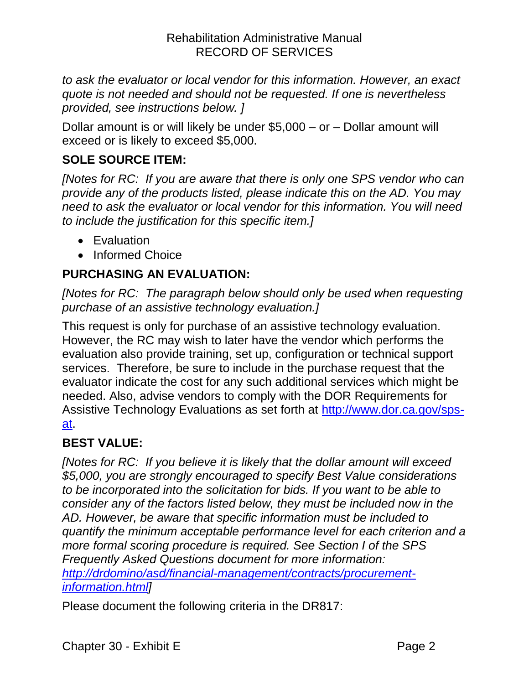*to ask the evaluator or local vendor for this information. However, an exact quote is not needed and should not be requested. If one is nevertheless provided, see instructions below. ]* 

Dollar amount is or will likely be under \$5,000 – or – Dollar amount will exceed or is likely to exceed \$5,000.

# **SOLE SOURCE ITEM:**

*[Notes for RC: If you are aware that there is only one SPS vendor who can provide any of the products listed, please indicate this on the AD. You may need to ask the evaluator or local vendor for this information. You will need to include the justification for this specific item.]*

- Evaluation
- Informed Choice

# **PURCHASING AN EVALUATION:**

*[Notes for RC: The paragraph below should only be used when requesting purchase of an assistive technology evaluation.]*

This request is only for purchase of an assistive technology evaluation. However, the RC may wish to later have the vendor which performs the evaluation also provide training, set up, configuration or technical support services. Therefore, be sure to include in the purchase request that the evaluator indicate the cost for any such additional services which might be needed. Also, advise vendors to comply with the DOR Requirements for Assistive Technology Evaluations as set forth at [http://www.dor.ca.gov/sps](http://www.dor.ca.gov/sps-at)[at.](http://www.dor.ca.gov/sps-at)

# **BEST VALUE:**

*[Notes for RC: If you believe it is likely that the dollar amount will exceed \$5,000, you are strongly encouraged to specify Best Value considerations to be incorporated into the solicitation for bids. If you want to be able to consider any of the factors listed below, they must be included now in the AD. However, be aware that specific information must be included to quantify the minimum acceptable performance level for each criterion and a more formal scoring procedure is required. See Section I of the SPS Frequently Asked Questions document for more information: [http://drdomino/asd/financial-management/contracts/procurement](http://drdomino/asd/financial-management/contracts/procurement-information.html)[information.html\]](http://drdomino/asd/financial-management/contracts/procurement-information.html)*

Please document the following criteria in the DR817: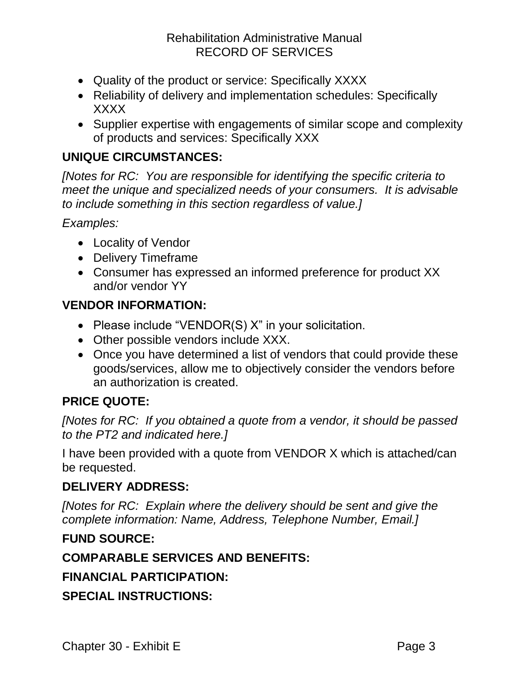### Rehabilitation Administrative Manual RECORD OF SERVICES

- Quality of the product or service: Specifically XXXX
- Reliability of delivery and implementation schedules: Specifically XXXX
- Supplier expertise with engagements of similar scope and complexity of products and services: Specifically XXX

### **UNIQUE CIRCUMSTANCES:**

*[Notes for RC: You are responsible for identifying the specific criteria to meet the unique and specialized needs of your consumers. It is advisable to include something in this section regardless of value.]*

*Examples:*

- Locality of Vendor
- Delivery Timeframe
- Consumer has expressed an informed preference for product XX and/or vendor YY

#### **VENDOR INFORMATION:**

- Please include "VENDOR(S) X" in your solicitation.
- Other possible vendors include XXX.
- Once you have determined a list of vendors that could provide these goods/services, allow me to objectively consider the vendors before an authorization is created.

### **PRICE QUOTE:**

*[Notes for RC: If you obtained a quote from a vendor, it should be passed to the PT2 and indicated here.]*

I have been provided with a quote from VENDOR X which is attached/can be requested.

#### **DELIVERY ADDRESS:**

*[Notes for RC: Explain where the delivery should be sent and give the complete information: Name, Address, Telephone Number, Email.]*

#### **FUND SOURCE:**

### **COMPARABLE SERVICES AND BENEFITS:**

**FINANCIAL PARTICIPATION:**

**SPECIAL INSTRUCTIONS:**